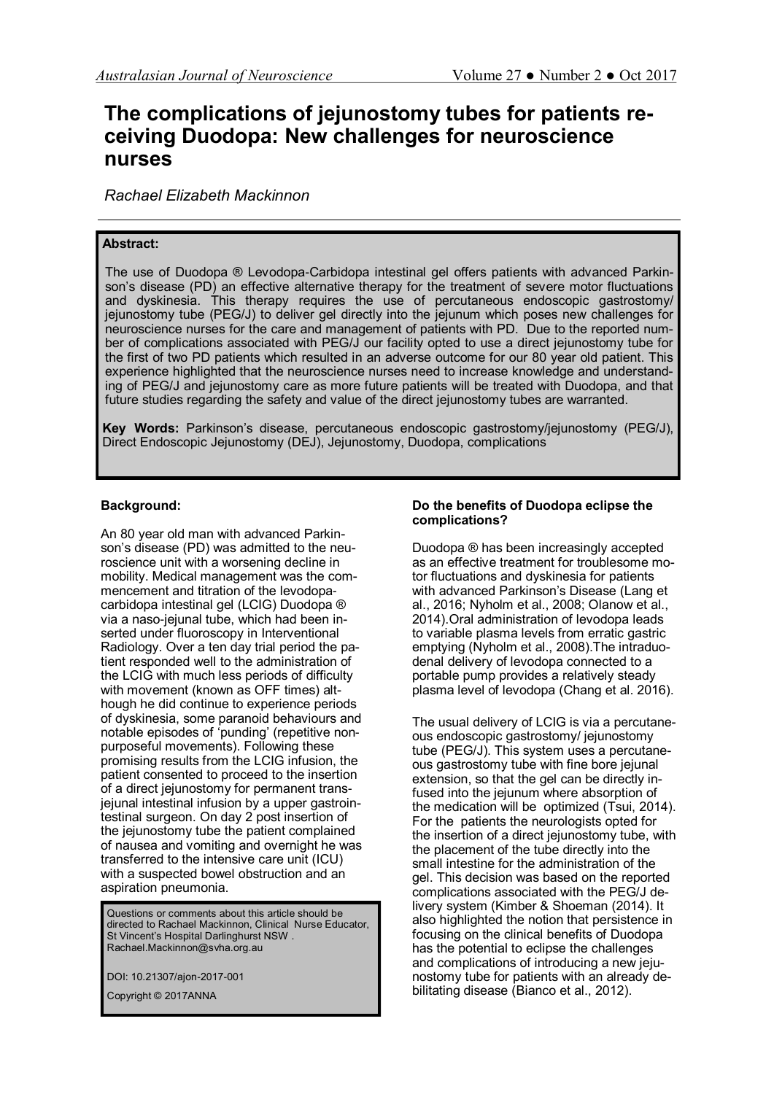# **The complications of jejunostomy tubes for patients receiving Duodopa: New challenges for neuroscience nurses**

*Rachael Elizabeth Mackinnon*

## **Abstract:**

The use of Duodopa ® Levodopa-Carbidopa intestinal gel offers patients with advanced Parkinson's disease (PD) an effective alternative therapy for the treatment of severe motor fluctuations and dyskinesia. This therapy requires the use of percutaneous endoscopic gastrostomy/ jejunostomy tube (PEG/J) to deliver gel directly into the jejunum which poses new challenges for neuroscience nurses for the care and management of patients with PD. Due to the reported number of complications associated with PEG/J our facility opted to use a direct jejunostomy tube for the first of two PD patients which resulted in an adverse outcome for our 80 year old patient. This experience highlighted that the neuroscience nurses need to increase knowledge and understanding of PEG/J and jejunostomy care as more future patients will be treated with Duodopa, and that future studies regarding the safety and value of the direct jejunostomy tubes are warranted.

**Key Words:** Parkinson's disease, percutaneous endoscopic gastrostomy/jejunostomy (PEG/J), Direct Endoscopic Jejunostomy (DEJ), Jejunostomy, Duodopa, complications

## **Background:**

An 80 year old man with advanced Parkinson's disease (PD) was admitted to the neuroscience unit with a worsening decline in mobility. Medical management was the commencement and titration of the levodopacarbidopa intestinal gel (LCIG) Duodopa ® via a naso-jejunal tube, which had been inserted under fluoroscopy in Interventional Radiology. Over a ten day trial period the patient responded well to the administration of the LCIG with much less periods of difficulty with movement (known as OFF times) although he did continue to experience periods of dyskinesia, some paranoid behaviours and notable episodes of 'punding' (repetitive nonpurposeful movements). Following these promising results from the LCIG infusion, the patient consented to proceed to the insertion of a direct jejunostomy for permanent transjejunal intestinal infusion by a upper gastrointestinal surgeon. On day 2 post insertion of the jejunostomy tube the patient complained of nausea and vomiting and overnight he was transferred to the intensive care unit (ICU) with a suspected bowel obstruction and an aspiration pneumonia.

Questions or comments about this article should be directed to Rachael Mackinnon, Clinical Nurse Educator, St Vincent's Hospital Darlinghurst NSW . Rachael.Mackinnon@svha.org.au

DOI: 10.21307/ajon-2017-001

Copyright © 2017ANNA

## **Do the benefits of Duodopa eclipse the complications?**

Duodopa ® has been increasingly accepted as an effective treatment for troublesome motor fluctuations and dyskinesia for patients with advanced Parkinson's Disease [\(Lang et](file:///C:/Users/ljstyles/Desktop/AJON%20OCT%202017/Direct%20Endoscopic%20Jejunostomy%20tubes_August2017%20SB%20RM%20Review%20of%20comments.docx#_ENREF_13#_ENREF_13)  [al., 2016;](file:///C:/Users/ljstyles/Desktop/AJON%20OCT%202017/Direct%20Endoscopic%20Jejunostomy%20tubes_August2017%20SB%20RM%20Review%20of%20comments.docx#_ENREF_13#_ENREF_13) [Nyholm et al., 2008;](file:///C:/Users/ljstyles/Desktop/AJON%20OCT%202017/Direct%20Endoscopic%20Jejunostomy%20tubes_August2017%20SB%20RM%20Review%20of%20comments.docx#_ENREF_15#_ENREF_15) [Olanow et al.,](file:///C:/Users/ljstyles/Desktop/AJON%20OCT%202017/Direct%20Endoscopic%20Jejunostomy%20tubes_August2017%20SB%20RM%20Review%20of%20comments.docx#_ENREF_16#_ENREF_16)  [2014\).](file:///C:/Users/ljstyles/Desktop/AJON%20OCT%202017/Direct%20Endoscopic%20Jejunostomy%20tubes_August2017%20SB%20RM%20Review%20of%20comments.docx#_ENREF_16#_ENREF_16)Oral administration of levodopa leads to variable plasma levels from erratic gastric emptying ([Nyholm et al., 2008\).](file:///C:/Users/ljstyles/Desktop/AJON%20OCT%202017/Direct%20Endoscopic%20Jejunostomy%20tubes_August2017%20SB%20RM%20Review%20of%20comments.docx#_ENREF_15#_ENREF_15)The intraduodenal delivery of levodopa connected to a portable pump provides a relatively steady plasma level of levodopa ([Chang et al. 2016\).](file:///C:/Users/ljstyles/Desktop/AJON%20OCT%202017/Direct%20Endoscopic%20Jejunostomy%20tubes_August2017%20SB%20RM%20Review%20of%20comments.docx#_ENREF_4#_ENREF_4)

The usual delivery of LCIG is via a percutaneous endoscopic gastrostomy/ jejunostomy tube (PEG/J). This system uses a percutaneous gastrostomy tube with fine bore jejunal extension, so that the gel can be directly infused into the jejunum where absorption of the medication will be optimized [\(Tsui, 2014\)](file:///C:/Users/ljstyles/Desktop/AJON%20OCT%202017/Direct%20Endoscopic%20Jejunostomy%20tubes_August2017%20SB%20RM%20Review%20of%20comments.docx#_ENREF_21#_ENREF_21). For the patients the neurologists opted for the insertion of a direct jejunostomy tube, with the placement of the tube directly into the small intestine for the administration of the gel. This decision was based on the reported complications associated with the PEG/J delivery system (Kimber & Shoeman (2014). It also highlighted the notion that persistence in focusing on the clinical benefits of Duodopa has the potential to eclipse the challenges and complications of introducing a new jejunostomy tube for patients with an already debilitating disease [\(Bianco et al., 2012\).](file:///C:/Users/ljstyles/Desktop/AJON%20OCT%202017/Direct%20Endoscopic%20Jejunostomy%20tubes_August2017%20SB%20RM%20Review%20of%20comments.docx#_ENREF_3#_ENREF_3)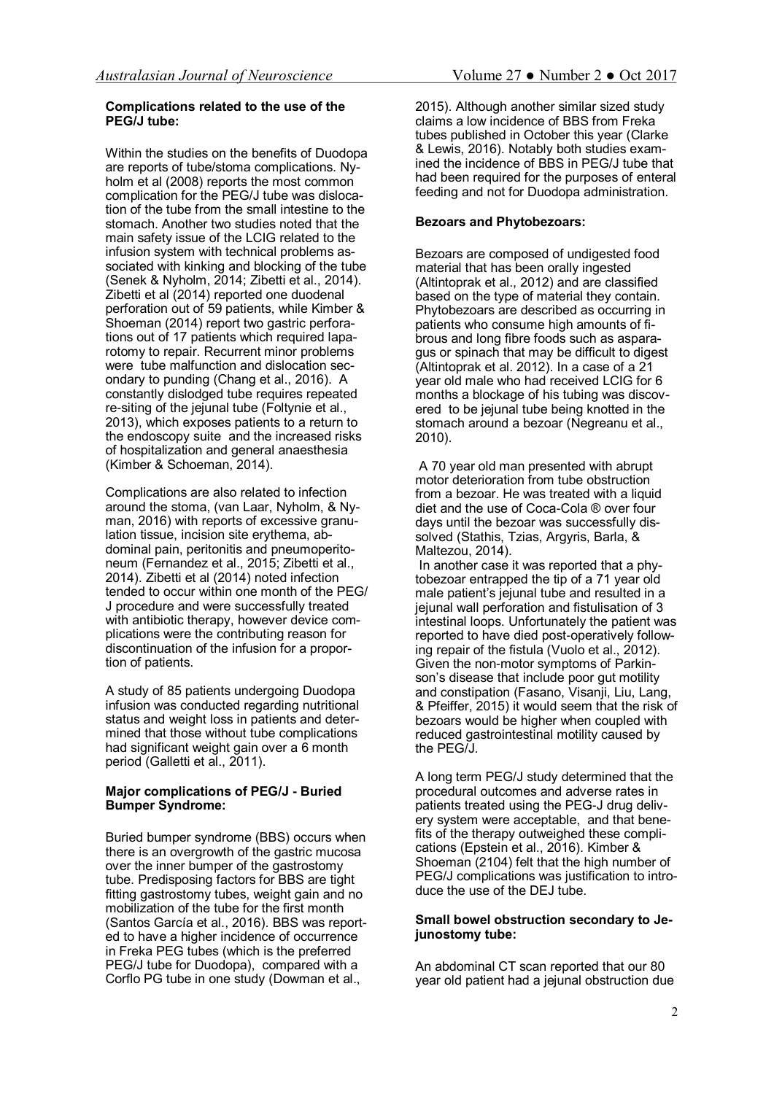## **Complications related to the use of the PEG/J tube:**

Within the studies on the benefits of Duodopa are reports of tube/stoma complications. Nyholm et al (2008) reports the most common complication for the PEG/J tube was dislocation of the tube from the small intestine to the stomach. Another two studies noted that the main safety issue of the LCIG related to the infusion system with technical problems associated with kinking and blocking of the tube ([Senek & Nyholm, 2014;](file:///C:/Users/ljstyles/Desktop/AJON%20OCT%202017/Direct%20Endoscopic%20Jejunostomy%20tubes_August2017%20SB%20RM%20Review%20of%20comments.docx#_ENREF_19#_ENREF_19) [Zibetti et al., 2014\)](file:///C:/Users/ljstyles/Desktop/AJON%20OCT%202017/Direct%20Endoscopic%20Jejunostomy%20tubes_August2017%20SB%20RM%20Review%20of%20comments.docx#_ENREF_24#_ENREF_24). Zibetti et al (2014) reported one duodenal perforation out of 59 patients, while Kimber & Shoeman (2014) report two gastric perforations out of 17 patients which required laparotomy to repair. Recurrent minor problems were tube malfunction and dislocation secondary to punding ([Chang et al., 2016\).](file:///C:/Users/ljstyles/Desktop/AJON%20OCT%202017/Direct%20Endoscopic%20Jejunostomy%20tubes_August2017%20SB%20RM%20Review%20of%20comments.docx#_ENREF_4#_ENREF_4) A constantly dislodged tube requires repeated re-siting of the jejunal tube ([Foltynie et al.,](file:///C:/Users/ljstyles/Desktop/AJON%20OCT%202017/Direct%20Endoscopic%20Jejunostomy%20tubes_August2017%20SB%20RM%20Review%20of%20comments.docx#_ENREF_10#_ENREF_10)  [2013\),](file:///C:/Users/ljstyles/Desktop/AJON%20OCT%202017/Direct%20Endoscopic%20Jejunostomy%20tubes_August2017%20SB%20RM%20Review%20of%20comments.docx#_ENREF_10#_ENREF_10) which exposes patients to a return to the endoscopy suite and the increased risks of hospitalization and general anaesthesia ([Kimber & Schoeman, 2014\)](file:///C:/Users/ljstyles/Desktop/AJON%20OCT%202017/Direct%20Endoscopic%20Jejunostomy%20tubes_August2017%20SB%20RM%20Review%20of%20comments.docx#_ENREF_12#_ENREF_12).

Complications are also related to infection around the stoma, [\(van Laar, Nyholm, & Ny](file:///C:/Users/ljstyles/Desktop/AJON%20OCT%202017/Direct%20Endoscopic%20Jejunostomy%20tubes_August2017%20SB%20RM%20Review%20of%20comments.docx#_ENREF_22#_ENREF_22)[man, 2016\)](file:///C:/Users/ljstyles/Desktop/AJON%20OCT%202017/Direct%20Endoscopic%20Jejunostomy%20tubes_August2017%20SB%20RM%20Review%20of%20comments.docx#_ENREF_22#_ENREF_22) with reports of excessive granulation tissue, incision site erythema, abdominal pain, peritonitis and pneumoperitoneum [\(Fernandez et al., 2015;](file:///C:/Users/ljstyles/Desktop/AJON%20OCT%202017/Direct%20Endoscopic%20Jejunostomy%20tubes_August2017%20SB%20RM%20Review%20of%20comments.docx#_ENREF_9#_ENREF_9) [Zibetti et al.,](file:///C:/Users/ljstyles/Desktop/AJON%20OCT%202017/Direct%20Endoscopic%20Jejunostomy%20tubes_August2017%20SB%20RM%20Review%20of%20comments.docx#_ENREF_24#_ENREF_24)  [2014\).](file:///C:/Users/ljstyles/Desktop/AJON%20OCT%202017/Direct%20Endoscopic%20Jejunostomy%20tubes_August2017%20SB%20RM%20Review%20of%20comments.docx#_ENREF_24#_ENREF_24) Zibetti et al (2014) noted infection tended to occur within one month of the PEG/ J procedure and were successfully treated with antibiotic therapy, however device complications were the contributing reason for discontinuation of the infusion for a proportion of patients.

A study of 85 patients undergoing Duodopa infusion was conducted regarding nutritional status and weight loss in patients and determined that those without tube complications had significant weight gain over a 6 month period [\(Galletti et al., 2011\).](file:///C:/Users/ljstyles/Desktop/AJON%20OCT%202017/Direct%20Endoscopic%20Jejunostomy%20tubes_August2017%20SB%20RM%20Review%20of%20comments.docx#_ENREF_11#_ENREF_11)

## **Major complications of PEG/J - Buried Bumper Syndrome:**

Buried bumper syndrome (BBS) occurs when there is an overgrowth of the gastric mucosa over the inner bumper of the gastrostomy tube. Predisposing factors for BBS are tight fitting gastrostomy tubes, weight gain and no mobilization of the tube for the first month ([Santos García et al., 2016\)](file:///C:/Users/ljstyles/Desktop/AJON%20OCT%202017/Direct%20Endoscopic%20Jejunostomy%20tubes_August2017%20SB%20RM%20Review%20of%20comments.docx#_ENREF_18#_ENREF_18). BBS was reported to have a higher incidence of occurrence in Freka PEG tubes (which is the preferred PEG/J tube for Duodopa), compared with a Corflo PG tube in one study [\(Dowman et al.,](file:///C:/Users/ljstyles/Desktop/AJON%20OCT%202017/Direct%20Endoscopic%20Jejunostomy%20tubes_August2017%20SB%20RM%20Review%20of%20comments.docx#_ENREF_6#_ENREF_6) 

[2015\)](file:///C:/Users/ljstyles/Desktop/AJON%20OCT%202017/Direct%20Endoscopic%20Jejunostomy%20tubes_August2017%20SB%20RM%20Review%20of%20comments.docx#_ENREF_6#_ENREF_6). Although another similar sized study claims a low incidence of BBS from Freka tubes published in October this year [\(Clarke](file:///C:/Users/ljstyles/Desktop/AJON%20OCT%202017/Direct%20Endoscopic%20Jejunostomy%20tubes_August2017%20SB%20RM%20Review%20of%20comments.docx#_ENREF_5#_ENREF_5)  [& Lewis, 2016\).](file:///C:/Users/ljstyles/Desktop/AJON%20OCT%202017/Direct%20Endoscopic%20Jejunostomy%20tubes_August2017%20SB%20RM%20Review%20of%20comments.docx#_ENREF_5#_ENREF_5) Notably both studies examined the incidence of BBS in PEG/J tube that had been required for the purposes of enteral feeding and not for Duodopa administration.

# **Bezoars and Phytobezoars:**

Bezoars are composed of undigested food material that has been orally ingested ([Altintoprak et al., 2012\)](file:///C:/Users/ljstyles/Desktop/AJON%20OCT%202017/Direct%20Endoscopic%20Jejunostomy%20tubes_August2017%20SB%20RM%20Review%20of%20comments.docx#_ENREF_1#_ENREF_1) and are classified based on the type of material they contain. Phytobezoars are described as occurring in patients who consume high amounts of fibrous and long fibre foods such as asparagus or spinach that may be difficult to digest ([Altintoprak et al. 2012\)](file:///C:/Users/ljstyles/Desktop/AJON%20OCT%202017/Direct%20Endoscopic%20Jejunostomy%20tubes_August2017%20SB%20RM%20Review%20of%20comments.docx#_ENREF_1#_ENREF_1). In a case of a 21 year old male who had received LCIG for 6 months a blockage of his tubing was discovered to be jejunal tube being knotted in the stomach around a bezoar (Negreanu et al., [2010\)](file:///C:/Users/ljstyles/Desktop/AJON%20OCT%202017/Direct%20Endoscopic%20Jejunostomy%20tubes_August2017%20SB%20RM%20Review%20of%20comments.docx#_ENREF_14#_ENREF_14).

A 70 year old man presented with abrupt motor deterioration from tube obstruction from a bezoar. He was treated with a liquid diet and the use of Coca-Cola ® over four days until the bezoar was successfully dissolved ([Stathis, Tzias, Argyris, Barla, &](file:///C:/Users/ljstyles/Desktop/AJON%20OCT%202017/Direct%20Endoscopic%20Jejunostomy%20tubes_August2017%20SB%20RM%20Review%20of%20comments.docx#_ENREF_20#_ENREF_20)  [Maltezou, 2014\)](file:///C:/Users/ljstyles/Desktop/AJON%20OCT%202017/Direct%20Endoscopic%20Jejunostomy%20tubes_August2017%20SB%20RM%20Review%20of%20comments.docx#_ENREF_20#_ENREF_20).

In another case it was reported that a phytobezoar entrapped the tip of a 71 year old male patient's jejunal tube and resulted in a jejunal wall perforation and fistulisation of 3 intestinal loops. Unfortunately the patient was reported to have died post-operatively following repair of the fistula [\(Vuolo et al., 2012\)](file:///C:/Users/ljstyles/Desktop/AJON%20OCT%202017/Direct%20Endoscopic%20Jejunostomy%20tubes_August2017%20SB%20RM%20Review%20of%20comments.docx#_ENREF_23#_ENREF_23). Given the non-motor symptoms of Parkinson's disease that include poor gut motility and constipation ([Fasano, Visanji, Liu, Lang,](file:///C:/Users/ljstyles/Desktop/AJON%20OCT%202017/Direct%20Endoscopic%20Jejunostomy%20tubes_August2017%20SB%20RM%20Review%20of%20comments.docx#_ENREF_8#_ENREF_8)  [& Pfeiffer, 2015\)](file:///C:/Users/ljstyles/Desktop/AJON%20OCT%202017/Direct%20Endoscopic%20Jejunostomy%20tubes_August2017%20SB%20RM%20Review%20of%20comments.docx#_ENREF_8#_ENREF_8) it would seem that the risk of bezoars would be higher when coupled with reduced gastrointestinal motility caused by the PEG/J.

A long term PEG/J study determined that the procedural outcomes and adverse rates in patients treated using the PEG-J drug delivery system were acceptable, and that benefits of the therapy outweighed these complications ([Epstein et al., 2016\)](file:///C:/Users/ljstyles/Desktop/AJON%20OCT%202017/Direct%20Endoscopic%20Jejunostomy%20tubes_August2017%20SB%20RM%20Review%20of%20comments.docx#_ENREF_7#_ENREF_7). Kimber & Shoeman (2104) felt that the high number of PEG/J complications was justification to introduce the use of the DEJ tube.

## **Small bowel obstruction secondary to Jejunostomy tube:**

An abdominal CT scan reported that our 80 year old patient had a jejunal obstruction due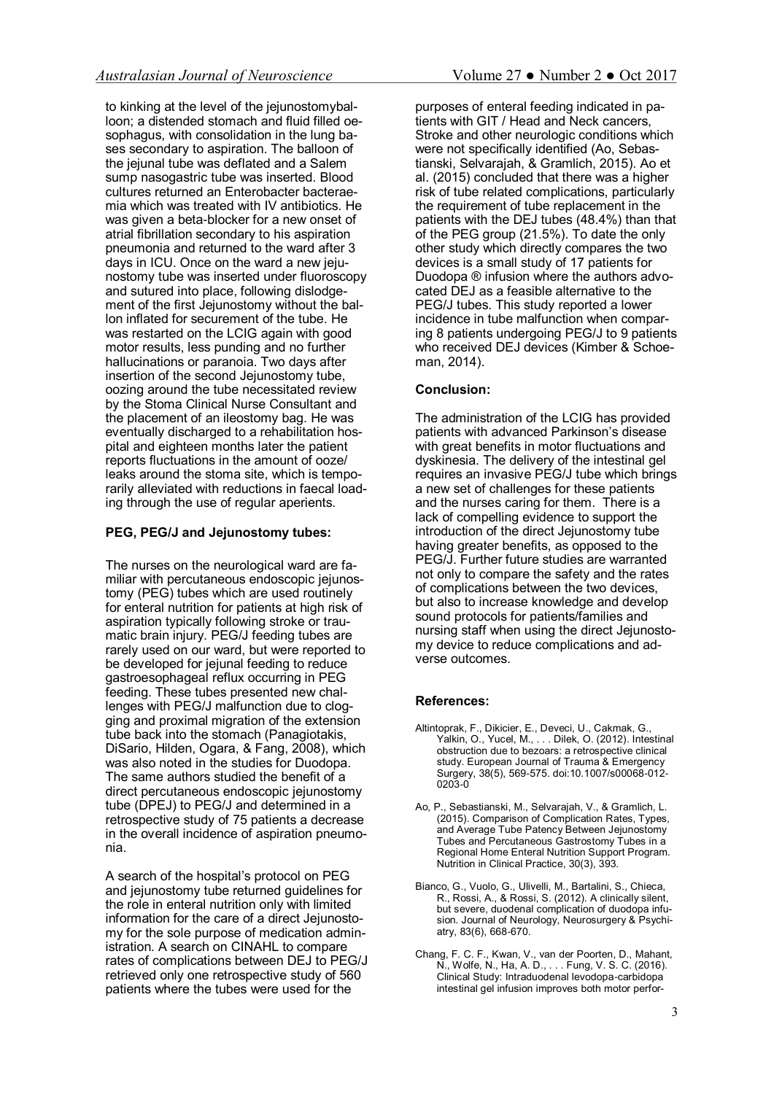to kinking at the level of the jejunostomyballoon; a distended stomach and fluid filled oesophagus, with consolidation in the lung bases secondary to aspiration. The balloon of the jejunal tube was deflated and a Salem sump nasogastric tube was inserted. Blood cultures returned an Enterobacter bacteraemia which was treated with IV antibiotics. He was given a beta-blocker for a new onset of atrial fibrillation secondary to his aspiration pneumonia and returned to the ward after 3 days in ICU. Once on the ward a new jejunostomy tube was inserted under fluoroscopy and sutured into place, following dislodgement of the first Jejunostomy without the ballon inflated for securement of the tube. He was restarted on the LCIG again with good motor results, less punding and no further hallucinations or paranoia. Two days after insertion of the second Jejunostomy tube. oozing around the tube necessitated review by the Stoma Clinical Nurse Consultant and the placement of an ileostomy bag. He was eventually discharged to a rehabilitation hospital and eighteen months later the patient reports fluctuations in the amount of ooze/ leaks around the stoma site, which is temporarily alleviated with reductions in faecal loading through the use of regular aperients.

## **PEG, PEG/J and Jejunostomy tubes:**

The nurses on the neurological ward are familiar with percutaneous endoscopic jejunostomy (PEG) tubes which are used routinely for enteral nutrition for patients at high risk of aspiration typically following stroke or traumatic brain injury. PEG/J feeding tubes are rarely used on our ward, but were reported to be developed for jejunal feeding to reduce gastroesophageal reflux occurring in PEG feeding. These tubes presented new challenges with PEG/J malfunction due to clogging and proximal migration of the extension tube back into the stomach ([Panagiotakis,](file:///C:/Users/ljstyles/Desktop/AJON%20OCT%202017/Direct%20Endoscopic%20Jejunostomy%20tubes_August2017%20SB%20RM%20Review%20of%20comments.docx#_ENREF_17#_ENREF_17)  [DiSario, Hilden, Ogara, & Fang, 2008\)](file:///C:/Users/ljstyles/Desktop/AJON%20OCT%202017/Direct%20Endoscopic%20Jejunostomy%20tubes_August2017%20SB%20RM%20Review%20of%20comments.docx#_ENREF_17#_ENREF_17), which was also noted in the studies for Duodopa. The same authors studied the benefit of a direct percutaneous endoscopic jejunostomy tube (DPEJ) to PEG/J and determined in a retrospective study of 75 patients a decrease in the overall incidence of aspiration pneumonia.

A search of the hospital's protocol on PEG and jejunostomy tube returned guidelines for the role in enteral nutrition only with limited information for the care of a direct Jejunostomy for the sole purpose of medication administration. A search on CINAHL to compare rates of complications between DEJ to PEG/J retrieved only one retrospective study of 560 patients where the tubes were used for the

purposes of enteral feeding indicated in patients with GIT / Head and Neck cancers, Stroke and other neurologic conditions which were not specifically identified [\(Ao, Sebas](file:///C:/Users/ljstyles/Desktop/AJON%20OCT%202017/Direct%20Endoscopic%20Jejunostomy%20tubes_August2017%20SB%20RM%20Review%20of%20comments.docx#_ENREF_2#_ENREF_2)[tianski, Selvarajah, & Gramlich, 2015\).](file:///C:/Users/ljstyles/Desktop/AJON%20OCT%202017/Direct%20Endoscopic%20Jejunostomy%20tubes_August2017%20SB%20RM%20Review%20of%20comments.docx#_ENREF_2#_ENREF_2) Ao et al. (2015) concluded that there was a higher risk of tube related complications, particularly the requirement of tube replacement in the patients with the DEJ tubes (48.4%) than that of the PEG group (21.5%). To date the only other study which directly compares the two devices is a small study of 17 patients for Duodopa ® infusion where the authors advocated DEJ as a feasible alternative to the PEG/J tubes. This study reported a lower incidence in tube malfunction when comparing 8 patients undergoing PEG/J to 9 patients who received DEJ devices [\(Kimber & Schoe](file:///C:/Users/ljstyles/Desktop/AJON%20OCT%202017/Direct%20Endoscopic%20Jejunostomy%20tubes_August2017%20SB%20RM%20Review%20of%20comments.docx#_ENREF_12#_ENREF_12)[man, 2014\)](file:///C:/Users/ljstyles/Desktop/AJON%20OCT%202017/Direct%20Endoscopic%20Jejunostomy%20tubes_August2017%20SB%20RM%20Review%20of%20comments.docx#_ENREF_12#_ENREF_12).

#### **Conclusion:**

The administration of the LCIG has provided patients with advanced Parkinson's disease with great benefits in motor fluctuations and dyskinesia. The delivery of the intestinal gel requires an invasive PEG/J tube which brings a new set of challenges for these patients and the nurses caring for them. There is a lack of compelling evidence to support the introduction of the direct Jejunostomy tube having greater benefits, as opposed to the PEG/J. Further future studies are warranted not only to compare the safety and the rates of complications between the two devices, but also to increase knowledge and develop sound protocols for patients/families and nursing staff when using the direct Jejunostomy device to reduce complications and adverse outcomes.

#### **References:**

- Altintoprak, F., Dikicier, E., Deveci, U., Cakmak, G., Yalkin, O., Yucel, M., . . . Dilek, O. (2012). Intestinal obstruction due to bezoars: a retrospective clinical study. European Journal of Trauma<sup>'</sup>& Emergency Surgery, 38(5), 569-575. doi:10.1007/s00068-012- 0203-0
- Ao, P., Sebastianski, M., Selvarajah, V., & Gramlich, L. (2015). Comparison of Complication Rates, Types, and Average Tube Patency Between Jejunostomy Tubes and Percutaneous Gastrostomy Tubes in a Regional Home Enteral Nutrition Support Program. Nutrition in Clinical Practice, 30(3), 393.
- Bianco, G., Vuolo, G., Ulivelli, M., Bartalini, S., Chieca, R., Rossi, A., & Rossi, S. (2012). A clinically silent, but severe, duodenal complication of duodopa infusion. Journal of Neurology, Neurosurgery & Psychiatry, 83(6), 668-670.
- Chang, F. C. F., Kwan, V., van der Poorten, D., Mahant, N., Wolfe, N., Ha, A. D., . . . Fung, V. S. C. (2016). Clinical Study: Intraduodenal levodopa-carbidopa intestinal gel infusion improves both motor perfor-